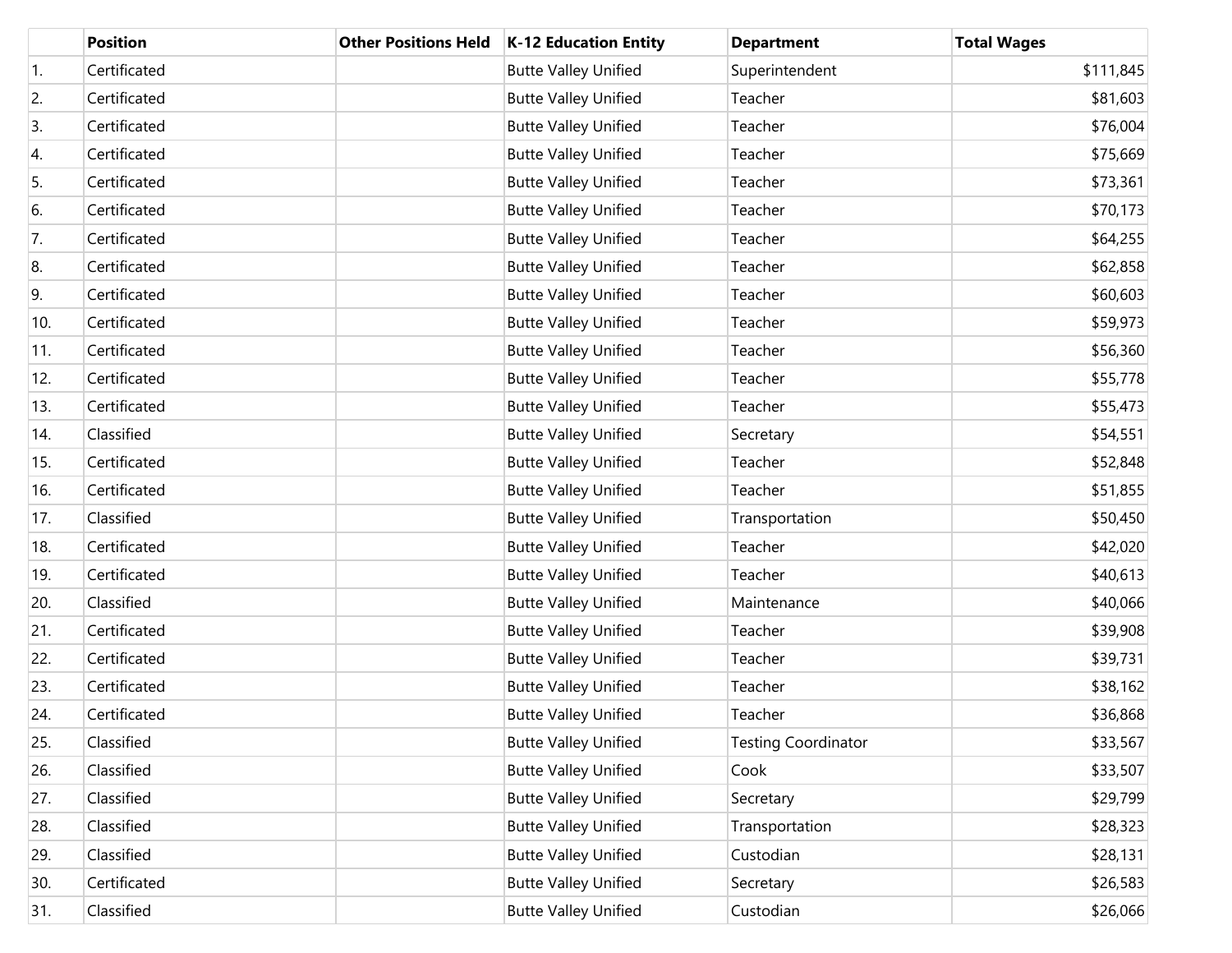|     | <b>Position</b> | <b>Other Positions Held</b> | K-12 Education Entity       | <b>Department</b>          | <b>Total Wages</b> |
|-----|-----------------|-----------------------------|-----------------------------|----------------------------|--------------------|
| 1.  | Certificated    |                             | <b>Butte Valley Unified</b> | Superintendent             | \$111,845          |
| 2.  | Certificated    |                             | <b>Butte Valley Unified</b> | Teacher                    | \$81,603           |
| 3.  | Certificated    |                             | <b>Butte Valley Unified</b> | Teacher                    | \$76,004           |
| 4.  | Certificated    |                             | <b>Butte Valley Unified</b> | Teacher                    | \$75,669           |
| 5.  | Certificated    |                             | <b>Butte Valley Unified</b> | Teacher                    | \$73,361           |
| 6.  | Certificated    |                             | <b>Butte Valley Unified</b> | Teacher                    | \$70,173           |
| 7.  | Certificated    |                             | <b>Butte Valley Unified</b> | Teacher                    | \$64,255           |
| 8.  | Certificated    |                             | <b>Butte Valley Unified</b> | Teacher                    | \$62,858           |
| 9.  | Certificated    |                             | <b>Butte Valley Unified</b> | Teacher                    | \$60,603           |
| 10. | Certificated    |                             | <b>Butte Valley Unified</b> | Teacher                    | \$59,973           |
| 11. | Certificated    |                             | <b>Butte Valley Unified</b> | Teacher                    | \$56,360           |
| 12. | Certificated    |                             | <b>Butte Valley Unified</b> | Teacher                    | \$55,778           |
| 13. | Certificated    |                             | <b>Butte Valley Unified</b> | Teacher                    | \$55,473           |
| 14. | Classified      |                             | <b>Butte Valley Unified</b> | Secretary                  | \$54,551           |
| 15. | Certificated    |                             | <b>Butte Valley Unified</b> | Teacher                    | \$52,848           |
| 16. | Certificated    |                             | <b>Butte Valley Unified</b> | Teacher                    | \$51,855           |
| 17. | Classified      |                             | <b>Butte Valley Unified</b> | Transportation             | \$50,450           |
| 18. | Certificated    |                             | <b>Butte Valley Unified</b> | Teacher                    | \$42,020           |
| 19. | Certificated    |                             | <b>Butte Valley Unified</b> | Teacher                    | \$40,613           |
| 20. | Classified      |                             | <b>Butte Valley Unified</b> | Maintenance                | \$40,066           |
| 21. | Certificated    |                             | <b>Butte Valley Unified</b> | Teacher                    | \$39,908           |
| 22. | Certificated    |                             | <b>Butte Valley Unified</b> | Teacher                    | \$39,731           |
| 23. | Certificated    |                             | <b>Butte Valley Unified</b> | Teacher                    | \$38,162           |
| 24. | Certificated    |                             | <b>Butte Valley Unified</b> | Teacher                    | \$36,868           |
| 25. | Classified      |                             | <b>Butte Valley Unified</b> | <b>Testing Coordinator</b> | \$33,567           |
| 26. | Classified      |                             | <b>Butte Valley Unified</b> | Cook                       | \$33,507           |
| 27. | Classified      |                             | <b>Butte Valley Unified</b> | Secretary                  | \$29,799           |
| 28. | Classified      |                             | <b>Butte Valley Unified</b> | Transportation             | \$28,323           |
| 29. | Classified      |                             | <b>Butte Valley Unified</b> | Custodian                  | \$28,131           |
| 30. | Certificated    |                             | <b>Butte Valley Unified</b> | Secretary                  | \$26,583           |
| 31. | Classified      |                             | <b>Butte Valley Unified</b> | Custodian                  | \$26,066           |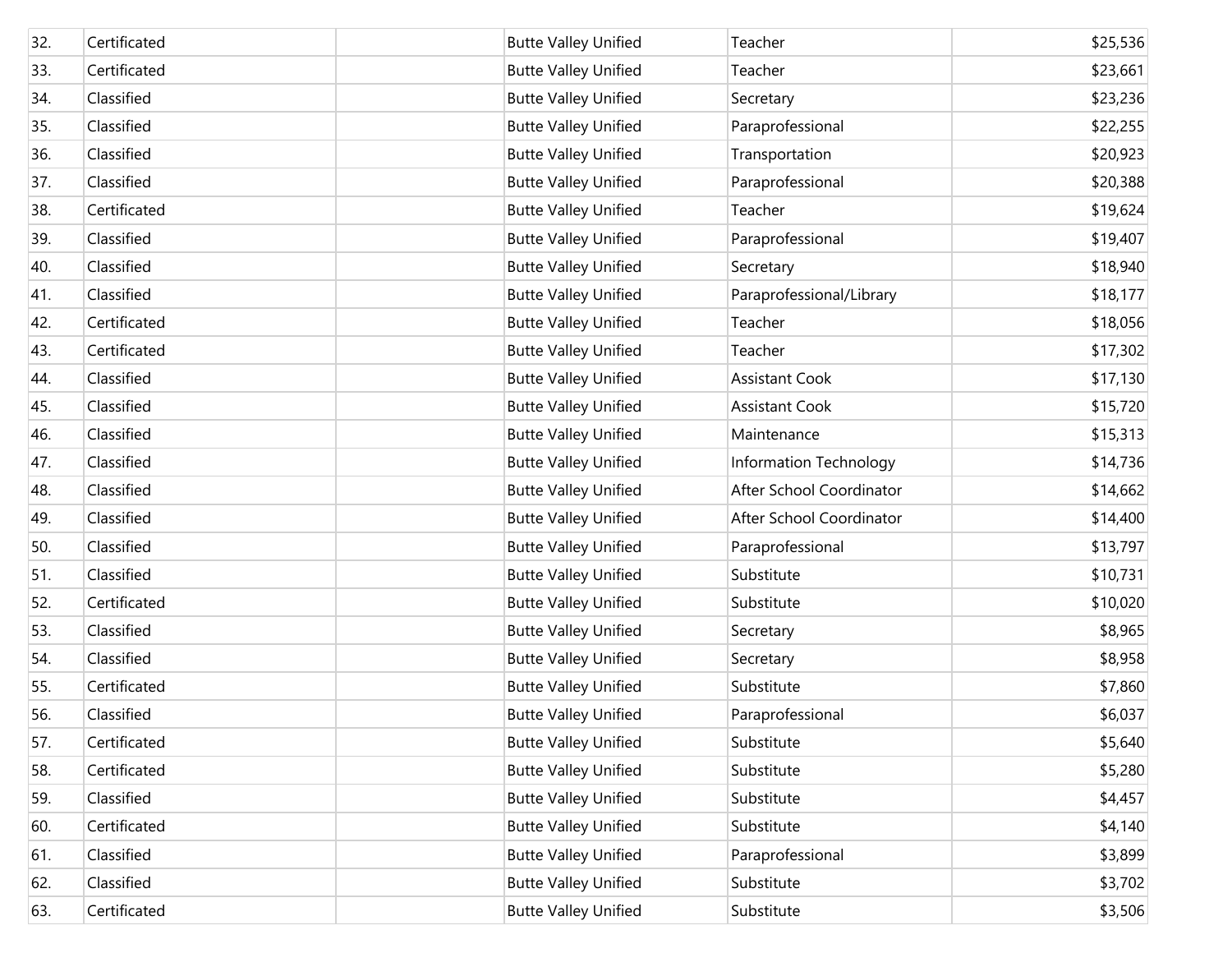| 32. | Certificated | <b>Butte Valley Unified</b> | Teacher                  | \$25,536 |
|-----|--------------|-----------------------------|--------------------------|----------|
| 33. | Certificated | <b>Butte Valley Unified</b> | Teacher                  | \$23,661 |
| 34. | Classified   | <b>Butte Valley Unified</b> | Secretary                | \$23,236 |
| 35. | Classified   | <b>Butte Valley Unified</b> | Paraprofessional         | \$22,255 |
| 36. | Classified   | <b>Butte Valley Unified</b> | Transportation           | \$20,923 |
| 37. | Classified   | <b>Butte Valley Unified</b> | Paraprofessional         | \$20,388 |
| 38. | Certificated | <b>Butte Valley Unified</b> | Teacher                  | \$19,624 |
| 39. | Classified   | <b>Butte Valley Unified</b> | Paraprofessional         | \$19,407 |
| 40. | Classified   | <b>Butte Valley Unified</b> | Secretary                | \$18,940 |
| 41. | Classified   | <b>Butte Valley Unified</b> | Paraprofessional/Library | \$18,177 |
| 42. | Certificated | <b>Butte Valley Unified</b> | Teacher                  | \$18,056 |
| 43. | Certificated | <b>Butte Valley Unified</b> | Teacher                  | \$17,302 |
| 44. | Classified   | <b>Butte Valley Unified</b> | <b>Assistant Cook</b>    | \$17,130 |
| 45. | Classified   | <b>Butte Valley Unified</b> | <b>Assistant Cook</b>    | \$15,720 |
| 46. | Classified   | <b>Butte Valley Unified</b> | Maintenance              | \$15,313 |
| 47. | Classified   | <b>Butte Valley Unified</b> | Information Technology   | \$14,736 |
| 48. | Classified   | <b>Butte Valley Unified</b> | After School Coordinator | \$14,662 |
| 49. | Classified   | <b>Butte Valley Unified</b> | After School Coordinator | \$14,400 |
| 50. | Classified   | <b>Butte Valley Unified</b> | Paraprofessional         | \$13,797 |
| 51. | Classified   | <b>Butte Valley Unified</b> | Substitute               | \$10,731 |
| 52. | Certificated | <b>Butte Valley Unified</b> | Substitute               | \$10,020 |
| 53. | Classified   | <b>Butte Valley Unified</b> | Secretary                | \$8,965  |
| 54. | Classified   | <b>Butte Valley Unified</b> | Secretary                | \$8,958  |
| 55. | Certificated | <b>Butte Valley Unified</b> | Substitute               | \$7,860  |
| 56. | Classified   | <b>Butte Valley Unified</b> | Paraprofessional         | \$6,037  |
| 57. | Certificated | <b>Butte Valley Unified</b> | Substitute               | \$5,640  |
| 58. | Certificated | <b>Butte Valley Unified</b> | Substitute               | \$5,280  |
| 59. | Classified   | <b>Butte Valley Unified</b> | Substitute               | \$4,457  |
| 60. | Certificated | <b>Butte Valley Unified</b> | Substitute               | \$4,140  |
| 61. | Classified   | <b>Butte Valley Unified</b> | Paraprofessional         | \$3,899  |
| 62. | Classified   | <b>Butte Valley Unified</b> | Substitute               | \$3,702  |
| 63. | Certificated | <b>Butte Valley Unified</b> | Substitute               | \$3,506  |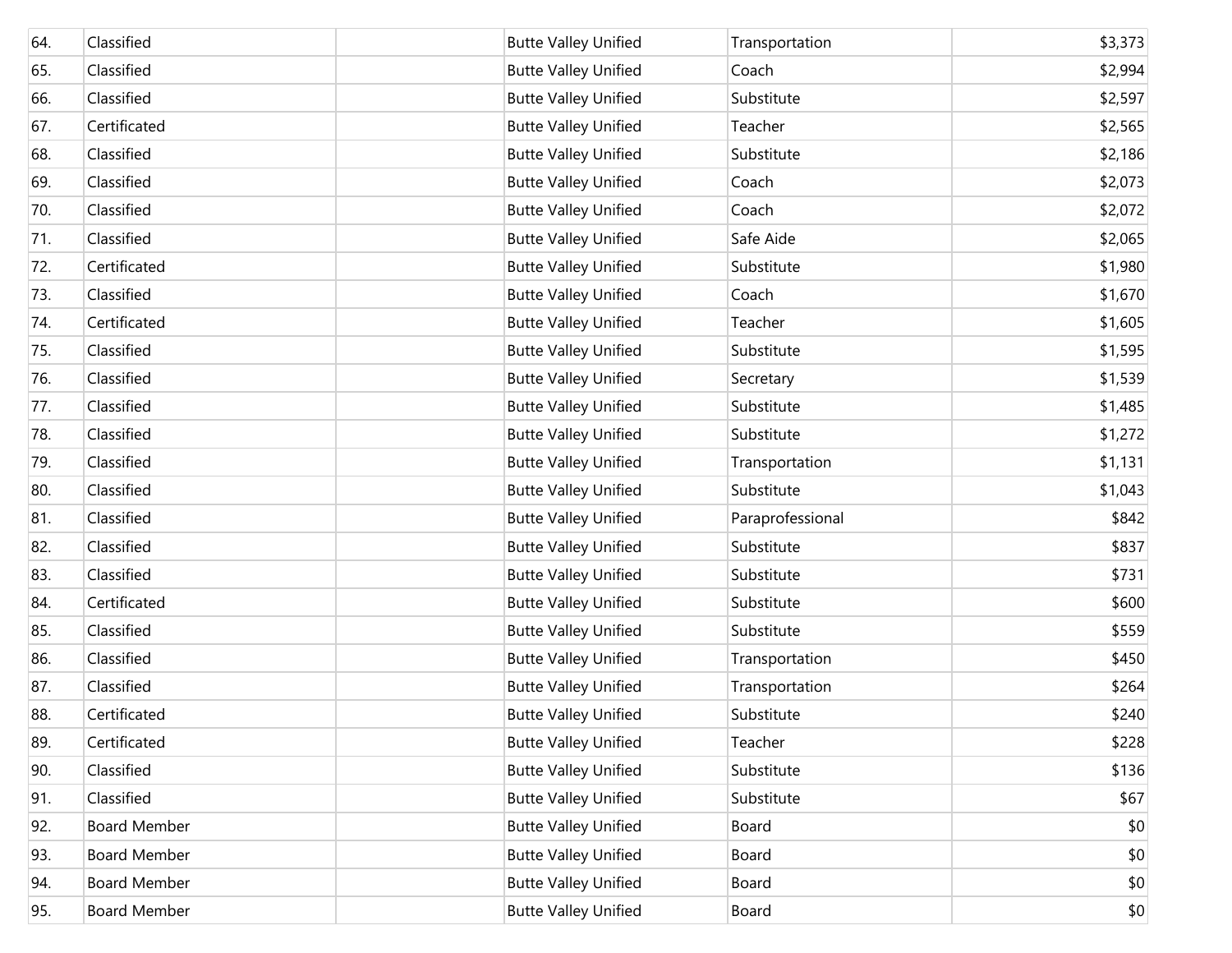| 64. | Classified          | <b>Butte Valley Unified</b> | Transportation   | \$3,373 |
|-----|---------------------|-----------------------------|------------------|---------|
| 65. | Classified          | <b>Butte Valley Unified</b> | Coach            | \$2,994 |
| 66. | Classified          | <b>Butte Valley Unified</b> | Substitute       | \$2,597 |
| 67. | Certificated        | <b>Butte Valley Unified</b> | Teacher          | \$2,565 |
| 68. | Classified          | <b>Butte Valley Unified</b> | Substitute       | \$2,186 |
| 69. | Classified          | <b>Butte Valley Unified</b> | Coach            | \$2,073 |
| 70. | Classified          | <b>Butte Valley Unified</b> | Coach            | \$2,072 |
| 71. | Classified          | <b>Butte Valley Unified</b> | Safe Aide        | \$2,065 |
| 72. | Certificated        | <b>Butte Valley Unified</b> | Substitute       | \$1,980 |
| 73. | Classified          | <b>Butte Valley Unified</b> | Coach            | \$1,670 |
| 74. | Certificated        | <b>Butte Valley Unified</b> | Teacher          | \$1,605 |
| 75. | Classified          | <b>Butte Valley Unified</b> | Substitute       | \$1,595 |
| 76. | Classified          | <b>Butte Valley Unified</b> | Secretary        | \$1,539 |
| 77. | Classified          | <b>Butte Valley Unified</b> | Substitute       | \$1,485 |
| 78. | Classified          | <b>Butte Valley Unified</b> | Substitute       | \$1,272 |
| 79. | Classified          | <b>Butte Valley Unified</b> | Transportation   | \$1,131 |
| 80. | Classified          | <b>Butte Valley Unified</b> | Substitute       | \$1,043 |
| 81. | Classified          | <b>Butte Valley Unified</b> | Paraprofessional | \$842   |
| 82. | Classified          | <b>Butte Valley Unified</b> | Substitute       | \$837   |
| 83. | Classified          | <b>Butte Valley Unified</b> | Substitute       | \$731   |
| 84. | Certificated        | <b>Butte Valley Unified</b> | Substitute       | \$600   |
| 85. | Classified          | <b>Butte Valley Unified</b> | Substitute       | \$559   |
| 86. | Classified          | <b>Butte Valley Unified</b> | Transportation   | \$450   |
| 87. | Classified          | <b>Butte Valley Unified</b> | Transportation   | \$264   |
| 88. | Certificated        | <b>Butte Valley Unified</b> | Substitute       | \$240   |
| 89. | Certificated        | <b>Butte Valley Unified</b> | Teacher          | \$228   |
| 90. | Classified          | <b>Butte Valley Unified</b> | Substitute       | \$136   |
| 91. | Classified          | <b>Butte Valley Unified</b> | Substitute       | \$67    |
| 92. | <b>Board Member</b> | <b>Butte Valley Unified</b> | Board            | \$0     |
| 93. | <b>Board Member</b> | <b>Butte Valley Unified</b> | Board            | \$0     |
| 94. | <b>Board Member</b> | <b>Butte Valley Unified</b> | Board            | \$0     |
| 95. | <b>Board Member</b> | <b>Butte Valley Unified</b> | Board            | \$0     |